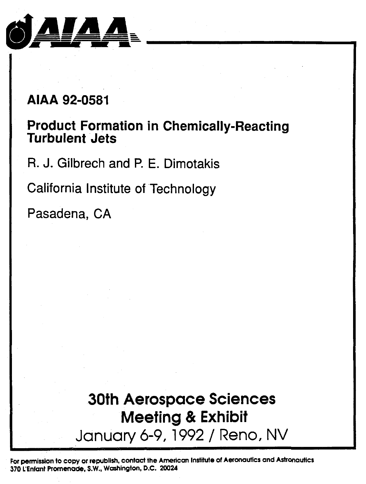

## **AlAA 92-0581**

# **Product Formation in Chemically-Reacting Turbulent Jets**

**R. J.** Gilbrech and P. E. Dimotakis

California Institute of Technology

Pasadena, CA

**30th Aerospace Sciences Meeting** & **Exhibit**  January 6-9, 1992 / Reno, NV

For permission to copy or republish, contact the American Institute of Aeronautics and Astronautics **370 L'Enfant Promenade, S.W., Warhington, D.C. 20024**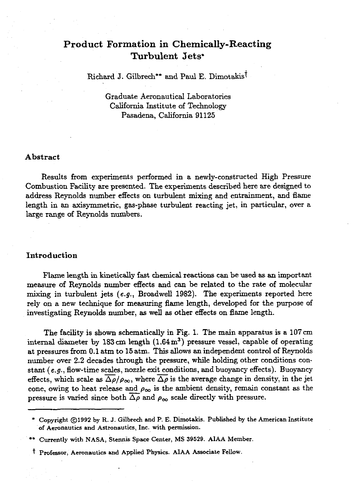### **Product Formation in Chemically-Reacting Turbulent 3 ets\***

Richard J. Gilbrech\*\* and Paul E. Dimotakis<sup>t</sup>

Graduate Aeronautical Laboratories California Institute of Technology Pasadena, California 91125

#### **Abstract**

Results from experiments performed in a newly-constructed High Pressure Combustion Facility are presented. The experiments described here are designed to address Reynolds number effects on turbulent mixing and entrainment, and flame length in an axisymmetric, gas-phase turbulent reacting jet, in particular, over a large range of Reynolds numbers.

#### **Introduction**

Flame length in kinetically fast chemical reactions can be used as an important measure of Reynolds number effects and can be related to the rate of molecular mixing in turbulent jets **(e.g.,** Broadwell 1982). The experiments reported here rely on a new technique for measuring flame length, developed for the purpose of investigating Reynolds number, as well as other effects on flame length.

The facility is shown schematically in Fig. 1. The main apparatus is a 107cm internal diameter by 183 **cm** length **(1.64m3)** pressure vessel, capable of operating at pressures from 0.1 atm to 15 atm. This allows an independent control of Reynolds number over 2.2 decades through the pressure, while holding other conditions constant **(e.g.,** flow-time scales, nozzle exit conditions, and buoyancy effects). Buoyancy effects, which scale as  $\overline{\Delta \rho}/\rho_{\infty}$ , where  $\overline{\Delta \rho}$  is the average change in density, in the jet cone, owing to heat release and  $\rho_{\infty}$  is the ambient density, remain constant as the pressure is varied since both  $\overline{\Delta \rho}$  and  $\rho_{\infty}$  scale directly with pressure.

<sup>\*</sup> **Copyright 01992 by R. J. Gilbrech and P. E. Dimotaki. Published by the American Institute of Aeronautics and Astronautics, Inc. with permission.** 

<sup>\*&#</sup>x27; **Currently with NASA, Stennis Space Center, MS 39529. AlAA Member.** 

t **Professor, Aeronautics and Applied Physics. AIAA Associate Fellow.**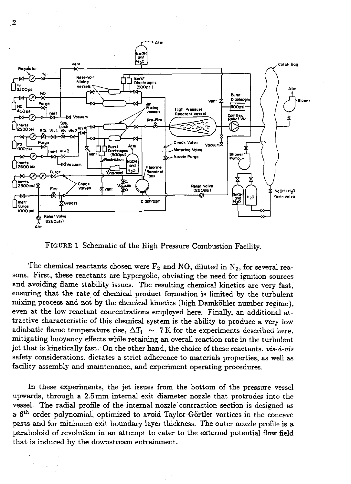

FIGURE 1 Schematic of the High Pressure Combustion Facility.

The chemical reactants chosen were  $F_2$  and NO, diluted in  $N_2$ , for several reasons. First, these reactants are hypergolic, obviating the need for ignition sources and avoiding flame stability issues. The resulting chemical kinetics are very fast, ensuring that the rate of chemical product formation is limited by the turbulent **mixing** process and not by the chemical kinetics (high Damkohler number regime), even at the low reactant concentrations employed here. Finally, an additional attractive characteristic of this chemical system is the ability to produce a very low adiabatic flame temperature rise,  $\Delta T_1 \sim 7$  K for the experiments described here, mitigating buoyancy effects while retaining an overall reaction rate in the turbulent jet that is kinetically fast. On the other hand, the choice of these reactants, *vis-i-vis*  safety considerations, dictates a strict adherence to materials properties, as well as facility assembly and maintenance, and experiment operating procedures.

In these experiments, the jet issues from the bottom of the pressure vessel upwards, through a 2.5mm internal exit diameter nozzle that protrudes into the vessel. The radial profile of the internal nozzle contraction section is designed as a  $6<sup>th</sup>$  order polynomial, optimized to avoid Taylor-Görtler vortices in the concave parts and for minimum exit boundary layer thickness. The outer nozzle profile is a paraboloid of revolution in an attempt to cater to the external potential flow field that is induced by the downstream entrainment.

 $\overline{2}$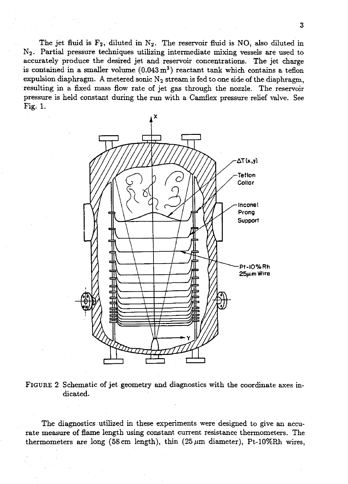The jet fluid is  $F_2$ , diluted in  $N_2$ . The reservoir fluid is NO, also diluted in **N2.** Partial pressure techniques utilizing intermediate mixing vessels are used to accurately produce the desired jet and reservoir concentrations. The jet charge is contained in a smaller volume  $(0.043 \,\mathrm{m}^3)$  reactant tank which contains a teflon expulsion diaphragm. A metered sonic  $N_2$  stream is fed to one side of the diaphragm, resulting in a fixed mass flow rate of jet gas through the nozzle. The reservoir pressure is held constant during the run with a Camflex pressure relief valve. See Fig. 1.



**FIGURE** 2 Schematic of jet geometry and diagnostics with the coordinate axes indicated.

The diagnostics utilized in these experiments were designed to give **an** accurate measure of flame length using constant current resistance thermometers. The thermometers are long (58cm length), thin  $(25 \mu m \text{ diameter})$ , Pt-10%Rh wires,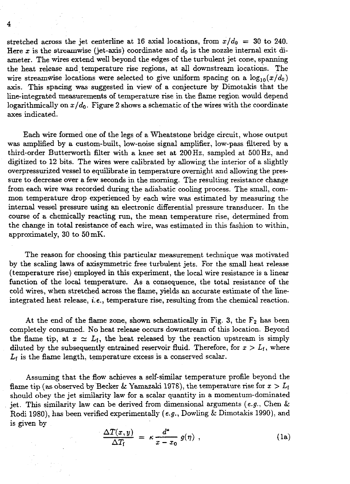stretched across the jet centerline at 16 axial locations, from  $x/d_0 = 30$  to 240. Here x is the streamwise (jet-axis) coordinate and  $d_0$  is the nozzle internal exit diameter. The wires extend well beyond the edges of the turbulent jet cone, spanning the heat release and temperature rise regions, at all downstream locations. The wire streamwise locations were selected to give uniform spacing on a  $\log_{10}(x/d_0)$ axis. This spacing was suggested in view of a conjecture by Dimotakis that the line-integrated measurements of temperature rise in the flame region would depend logarithmically on  $x/d_0$ . Figure 2 shows a schematic of the wires with the coordinate axes indicated.

Each wire formed one of the legs of a Wheatstone bridge circuit, whose output was amplified by a custom-built, low-noise signal amplifier, low-pass filtered by a third-order Butterworth filter with a knee set at 200Hz, sampled at 500Hz, and digitized to 12 bits. The wires were calibrated by allowing the interior of a slightly overpressurized vessel to equilibrate in temperature overnight and allowing the pressure to decrease over a few seconds in the morning. The resulting resistance change from each wire was recorded during the adiabatic cooling process. The small, common temperature drop experienced by each wire was estimated by measuring the internal vessel pressure using an electronic differential pressure transducer. In the course of a chemically reacting run, the mean temperature rise, determined from the change in total resistance of each wire, was estimated in this fashion to within, approximately, 30 to 50 mK.

The reason for choosing this particular measurement technique was motivated by the scaling laws of axisymrnetric free turbulent jets. For the small heat release (temperature rise) employed in this experiment, the local wire resistance is a linear function of the local temperature. As a consequence, the total resistance of the cold wires, when stretched across the flame, yields an accurate estimate of the lineintegrated heat release, **i.e.,** temperature rise, resulting from the chemical reaction.

At the end of the flame zone, shown schematically in Fig. 3, the **Fz** has been completely consumed. No heat release occurs downstream of this location. Beyond the flame tip, at  $x \simeq L_f$ , the heat released by the reaction upstream is simply diluted by the subsequently entrained reservoir fluid. Therefore, for  $x > L_f$ , where **Lr** is the flame length, temperature excess is a conserved scalar.

Assuming that the flow achieves a self-similar temperature profile beyond the flame tip (as observed by Becker & Yamazaki 1978), the temperature rise for  $x > L_1$ should obey the jet similarity law for a scalar quantity in a momentum-dominated jet. This similarity law can be derived from dimensional arguments **(e.g.,** Chen & Rodi 1980), has been verified experimentally **(e.g.,** Dowling & Dimotakis 1990), and is given by

$$
\frac{\Delta T(x,y)}{\Delta T_{\rm f}} = \kappa \frac{d^*}{x - x_0} g(\eta) , \qquad (1a)
$$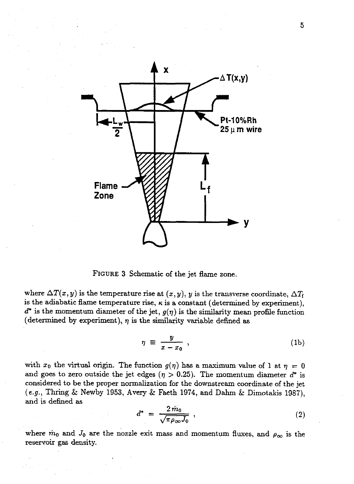

**FIGURE 3** Schematic of the jet flame zone.

where  $\Delta T(x, y)$  is the temperature rise at  $(x, y)$ , y is the transverse coordinate,  $\Delta T_f$ is the adiabatic flame temperature rise,  $\kappa$  is a constant (determined by experiment),  $d^*$  is the momentum diameter of the jet,  $g(\eta)$  is the similarity mean profile function (determined by experiment),  $\eta$  is the similarity variable defined as

$$
\eta \equiv \frac{y}{x - x_0} \; , \tag{1b}
$$

with  $x_0$  the virtual origin. The function  $g(\eta)$  has a maximum value of 1 at  $\eta = 0$ and goes to zero outside the jet edges  $(\eta > 0.25)$ . The momentum diameter  $d^*$  is considered to be the proper normalization for the downstream coordinate of the jet **(e.g., Thriig** & Newby **1953, Avery** & Faeth **1974,** and Dahm & Dimotakis **1987),**  and is defined as

$$
d^* = \frac{2m_0}{\sqrt{\pi \rho_\infty J_0}} \tag{2}
$$

where  $\dot{m}_0$  and  $J_0$  are the nozzle exit mass and momentum fluxes, and  $\rho_{\infty}$  is the reservoir gas density.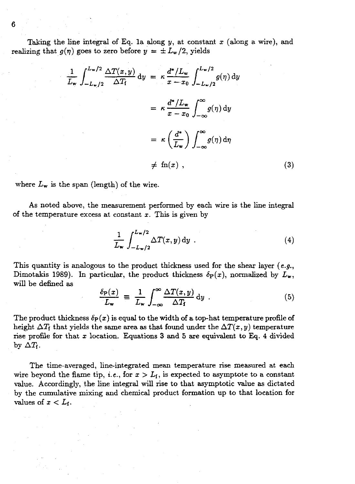Taking the line integral of Eq. 1a along  $y$ , at constant  $x$  (along a wire), and realizing that  $g(\eta)$  goes to zero before  $y = \pm L_w/2$ , yields

$$
\frac{1}{L_{\mathbf{w}}} \int_{-L_{\mathbf{w}}/2}^{L_{\mathbf{w}}/2} \frac{\Delta T(x, y)}{\Delta T_{\mathbf{f}}} dy = \kappa \frac{d^* / L_{\mathbf{w}}}{x - x_0} \int_{-L_{\mathbf{w}}/2}^{L_{\mathbf{w}}/2} g(\eta) dy
$$

$$
= \kappa \frac{d^* / L_{\mathbf{w}}}{x - x_0} \int_{-\infty}^{\infty} g(\eta) dy
$$

$$
= \kappa \left(\frac{d^*}{L_{\mathbf{w}}}\right) \int_{-\infty}^{\infty} g(\eta) d\eta
$$

$$
\neq \text{fn}(x), \qquad (3)
$$

where  $L_{\mathbf{w}}$  is the span (length) of the wire.

As noted above, the measurement performed by each wire is the line integral of the temperature excess at constant  $x$ . This is given by

$$
\frac{1}{L_{\mathbf{w}}} \int_{-L_{\mathbf{w}}/2}^{L_{\mathbf{w}}/2} \Delta T(x, y) \, \mathrm{d}y \tag{4}
$$

This quantity is analogous to the product thickness used for the shear layer (e.g., Dimotakis 1989). In particular, the product thickness  $\delta_P(x)$ , normalized by  $L_w$ , will be defined as

$$
\frac{\delta_{\rm P}(x)}{L_{\rm w}} \equiv \frac{1}{L_{\rm w}} \int_{-\infty}^{\infty} \frac{\Delta T(x, y)}{\Delta T_{\rm f}} \, \mathrm{d}y \tag{5}
$$

The product thickness  $\delta_P(x)$  is equal to the width of a top-hat temperature profile of height  $\Delta T_f$  that yields the same area as that found under the  $\Delta T(x, y)$  temperature rise profile for that x location. Equations **3** and **5** are equivalent to **Eq.** 4 divided by  $\Delta T_f$ .

The time-averaged, line-integrated mean temperature rise measured at each wire beyond the flame tip, i.e., for  $x > L_1$ , is expected to asymptote to a constant value. Accordingly, the line integral will rise to that asymptotic value **as** dictated by the cumulative mixing and chemical product formation up to that location for values of  $x < L_f$ .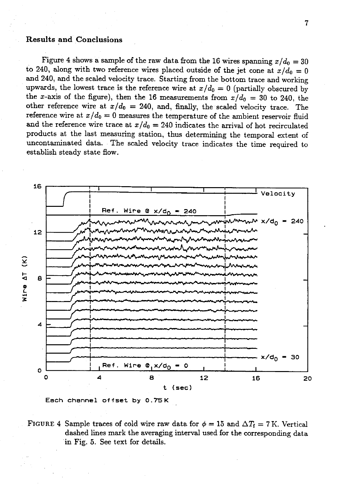#### **Results and Conclusions**

Figure 4 shows a sample of the raw data from the 16 wires spanning  $x/d_0 = 30$ to 240, along with two reference wires placed outside of the jet cone at  $x/d_0 = 0$ and 240, and the scaled velocity trace. Starting from the bottom trace and working upwards, the lowest trace is the reference wire at  $x/d_0 = 0$  (partially obscured by the x-axis of the figure), then the 16 measurements from  $x/d_0 = 30$  to 240, the other reference wire at  $x/d_0 = 240$ , and, finally, the scaled velocity trace. The reference wire at  $x/d_0 = 0$  measures the temperature of the ambient reservoir fluid and the reference wire trace at  $x/d_0 = 240$  indicates the arrival of hot recirculated products at the last measuring station, thus determining the temporal extent of uncontaminated data. The scaled velocity trace indicates the time required to establish steady state flow.



**Each channel offset by 0.75K** 

**FIGURE 4 Sample traces of cold wire raw data for**  $\phi = 15$  **and**  $\Delta T_f = 7$  **K. Vertical** dashed lines mark the averaging interval used for the corresponding data in Fig. **5.** See text for details.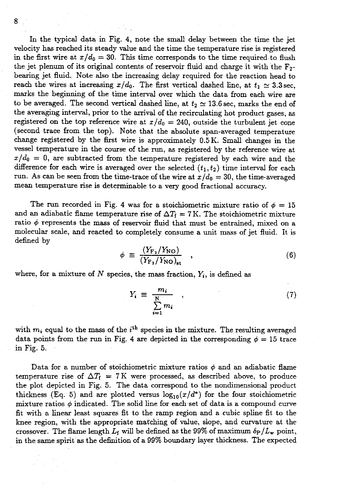8

In the typical data in Fig. 4, note the small delay between the time the jet velocity has reached its steady value and the time the temperature rise is registered in the first wire at  $x/d_0 = 30$ . This time corresponds to the time required to flush the jet plenum of its original contents of reservoir fluid and charge it with the  $F_2$ bearing jet fluid. Note also the increasing delay required for the reaction head to reach the wires at increasing  $x/d_0$ . The first vertical dashed line, at  $t_1 \approx 3.3$  sec, marks the beginning of the time interval over which the data from each wire are to be averaged. The second vertical dashed line, at  $t_2 \approx 13.6$  sec, marks the end of the averaging interval, prior to the arrival of the recirculating hot product gases, as registered on the top reference wire at  $x/d_0 = 240$ , outside the turbulent jet cone (second trace from the top). Note that the absolute span-averaged temperature change registered by the first wire is approximately 0.5K. Small changes in the vessel temperature in the course of the run, as registered by the reference wire at  $x/d_0 = 0$ , are subtracted from the temperature registered by each wire and the difference for each wire is averaged over the selected  $(t_1, t_2)$  time interval for each run. As can be seen from the time-trace of the wire at  $x/d_0 = 30$ , the time-averaged mean temperature rise is determinable to a very good fractional accuracy.

The run recorded in Fig. 4 was for a stoichiometric mixture ratio of  $\phi = 15$ and an adiabatic flame temperature rise of  $\Delta T_f = 7$  K. The stoichiometric mixture ratio  $\phi$  represents the mass of reservoir fluid that must be entrained, mixed on a molecular scale, and reacted to completely consume a unit mass of jet fluid. It is defined by

$$
\phi \equiv \frac{(Y_{\rm F_2}/Y_{\rm NO})}{(Y_{\rm F_2}/Y_{\rm NO})_{\rm st}} \quad , \tag{6}
$$

where, for a mixture of N species, the mass fraction,  $Y_i$ , is defined as

$$
Y_i \equiv \frac{m_i}{\sum\limits_{i=1}^{N} m_i} \quad , \tag{7}
$$

with  $m_i$  equal to the mass of the  $i<sup>th</sup>$  species in the mixture. The resulting averaged data points from the run in Fig. 4 are depicted in the corresponding  $\phi = 15$  trace in Fig. **5.** 

Data for a number of stoichiometric mixture ratios  $\phi$  and an adiabatic flame temperature rise of  $\Delta T_f = 7$ K were processed, as described above, to produce the plot depicted in Fig. 5. The data correspond to the nondimensional product thickness (Eq. 5) and are plotted versus  $log_{10}(x/d^*)$  for the four stoichiometric mixture ratios  $\phi$  indicated. The solid line for each set of data is a compound curve fit with a linear least squares fit to the ramp region and a cubic spline fit to the knee region, with the appropriate matching of value, slope, and curvature at the crossover. The flame length  $L_f$  will be defined as the 99% of maximum  $\delta_P/L_w$  point, in the same spirit as the defhition of a 99% boundary layer thickness. The expected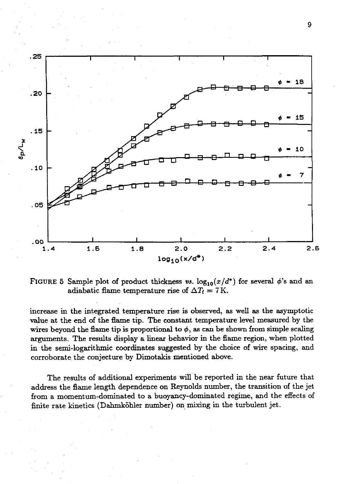

**FIGURE 5** Sample plot of product thickness us.  $\log_{10}(x/d^*)$  for several  $\phi$ 's and an adiabatic flame temperature rise of  $\Delta T_f = 7$  K.

increase in the integrated temperature rise is observed, as well **as** the asymptotic value at the end of the flame tip. The constant temperature level measured by the wires beyond the flame tip is proportional to  $\phi$ , as can be shown from simple scaling arguments. The results display a linear behavior in the flame region, when plotted in the semi-logarithmic coordinates suggested by the choice of wire spacing, and corroborate the conjecture by Dimotakis mentioned above.

The results of additional experiments will be reported in the near future that address the flame length dependence on Reynolds number, the transition of the jet from a momentum-dominated to a buoyancy-dominated regime, and the effects of finite rate kinetics (Dahmköhler number) on mixing in the turbulent jet.